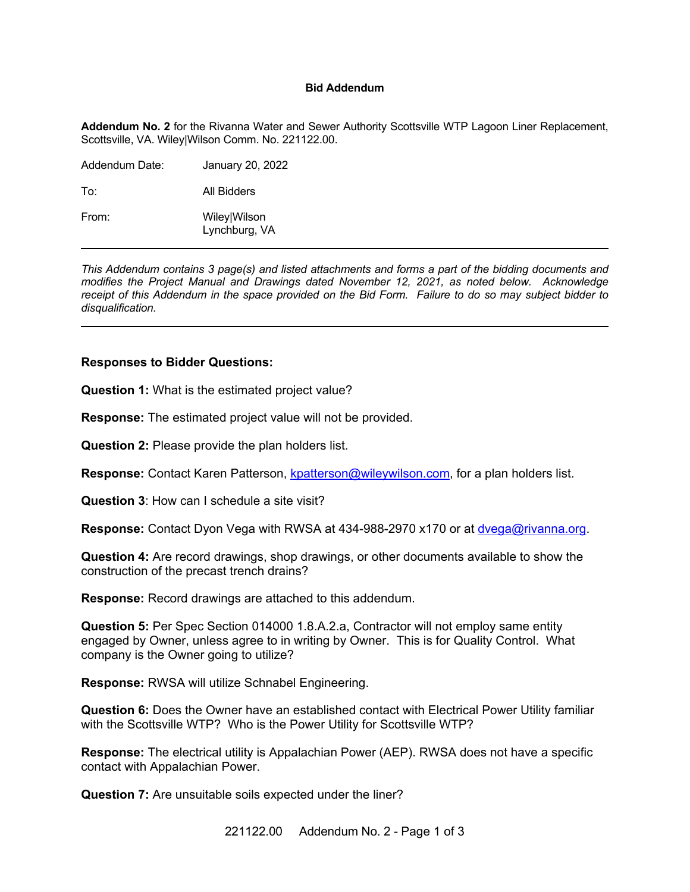## **Bid Addendum**

**Addendum No. 2** for the Rivanna Water and Sewer Authority Scottsville WTP Lagoon Liner Replacement, Scottsville, VA. Wiley|Wilson Comm. No. 221122.00.

| Addendum Date: | January 20, 2022              |
|----------------|-------------------------------|
| To:            | All Bidders                   |
| From:          | Wiley Wilson<br>Lynchburg, VA |

*This Addendum contains 3 page(s) and listed attachments and forms a part of the bidding documents and modifies the Project Manual and Drawings dated November 12, 2021, as noted below. Acknowledge receipt of this Addendum in the space provided on the Bid Form. Failure to do so may subject bidder to disqualification.*

## **Responses to Bidder Questions:**

**Question 1:** What is the estimated project value?

**Response:** The estimated project value will not be provided.

**Question 2:** Please provide the plan holders list.

**Response:** Contact Karen Patterson, [kpatterson@wileywilson.com](mailto:kpatterson@wileywilson.com), for a plan holders list.

**Question 3**: How can I schedule a site visit?

**Response:** Contact Dyon Vega with RWSA at 434-988-2970 x170 or at [dvega@rivanna.org](mailto:dvega@rivanna.org).

**Question 4:** Are record drawings, shop drawings, or other documents available to show the construction of the precast trench drains?

**Response:** Record drawings are attached to this addendum.

**Question 5:** Per Spec Section 014000 1.8.A.2.a, Contractor will not employ same entity engaged by Owner, unless agree to in writing by Owner. This is for Quality Control. What company is the Owner going to utilize?

**Response:** RWSA will utilize Schnabel Engineering.

**Question 6:** Does the Owner have an established contact with Electrical Power Utility familiar with the Scottsville WTP? Who is the Power Utility for Scottsville WTP?

**Response:** The electrical utility is Appalachian Power (AEP). RWSA does not have a specific contact with Appalachian Power.

**Question 7:** Are unsuitable soils expected under the liner?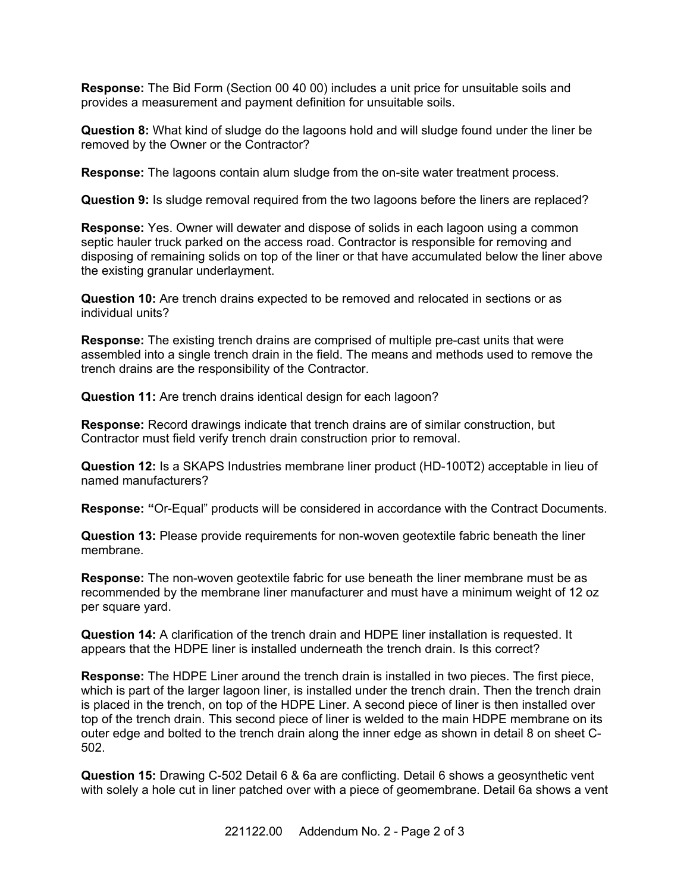**Response:** The Bid Form (Section 00 40 00) includes a unit price for unsuitable soils and provides a measurement and payment definition for unsuitable soils.

**Question 8:** What kind of sludge do the lagoons hold and will sludge found under the liner be removed by the Owner or the Contractor?

**Response:** The lagoons contain alum sludge from the on-site water treatment process.

**Question 9:** Is sludge removal required from the two lagoons before the liners are replaced?

**Response:** Yes. Owner will dewater and dispose of solids in each lagoon using a common septic hauler truck parked on the access road. Contractor is responsible for removing and disposing of remaining solids on top of the liner or that have accumulated below the liner above the existing granular underlayment.

**Question 10:** Are trench drains expected to be removed and relocated in sections or as individual units?

**Response:** The existing trench drains are comprised of multiple pre-cast units that were assembled into a single trench drain in the field. The means and methods used to remove the trench drains are the responsibility of the Contractor.

**Question 11:** Are trench drains identical design for each lagoon?

**Response:** Record drawings indicate that trench drains are of similar construction, but Contractor must field verify trench drain construction prior to removal.

**Question 12:** Is a SKAPS Industries membrane liner product (HD-100T2) acceptable in lieu of named manufacturers?

**Response: "**Or-Equal" products will be considered in accordance with the Contract Documents.

**Question 13:** Please provide requirements for non-woven geotextile fabric beneath the liner membrane.

**Response:** The non-woven geotextile fabric for use beneath the liner membrane must be as recommended by the membrane liner manufacturer and must have a minimum weight of 12 oz per square yard.

**Question 14:** A clarification of the trench drain and HDPE liner installation is requested. It appears that the HDPE liner is installed underneath the trench drain. Is this correct?

**Response:** The HDPE Liner around the trench drain is installed in two pieces. The first piece, which is part of the larger lagoon liner, is installed under the trench drain. Then the trench drain is placed in the trench, on top of the HDPE Liner. A second piece of liner is then installed over top of the trench drain. This second piece of liner is welded to the main HDPE membrane on its outer edge and bolted to the trench drain along the inner edge as shown in detail 8 on sheet C-502.

**Question 15:** Drawing C-502 Detail 6 & 6a are conflicting. Detail 6 shows a geosynthetic vent with solely a hole cut in liner patched over with a piece of geomembrane. Detail 6a shows a vent